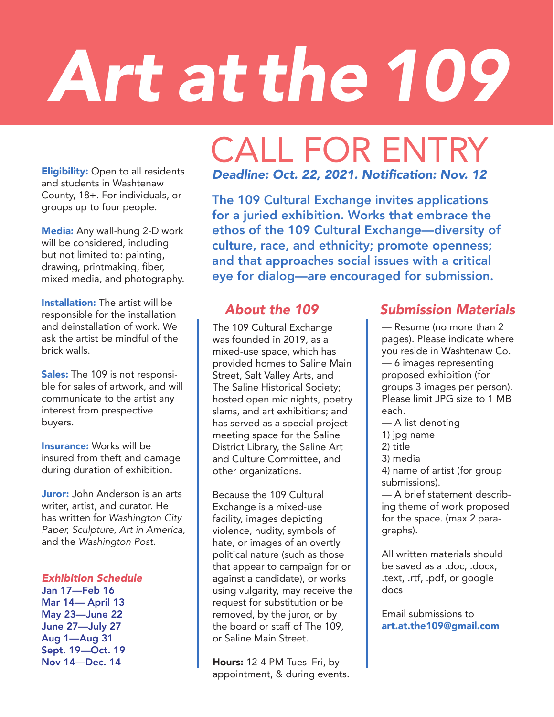# *Art at the109*

## CALL FOR ENTRY

**Eligibility:** Open to all residents and students in Washtenaw County, 18+. For individuals, or groups up to four people.

Media: Any wall-hung 2-D work will be considered, including but not limited to: painting, drawing, printmaking, fiber, mixed media, and photography.

**Installation:** The artist will be responsible for the installation and deinstallation of work. We ask the artist be mindful of the brick walls.

Sales: The 109 is not responsible for sales of artwork, and will communicate to the artist any interest from prespective buyers.

Insurance: Works will be insured from theft and damage during duration of exhibition.

**Juror:** John Anderson is an arts writer, artist, and curator. He has written for *Washington City Paper, Sculpture, Art in America,*  and the *Washington Post.*

#### *Exhibition Schedule*

Jan 17—Feb 16 Mar 14— April 13 May 23—June 22 June 27—July 27 Aug 1—Aug 31 Sept. 19—Oct. 19 Nov 14—Dec. 14

#### *Deadline: O*ct. 22, 2021. Notification: *Nov. 12*

The 109 Cultural Exchange invites applications for a juried exhibition. Works that embrace the ethos of the 109 Cultural Exchange—diversity of culture, race, and ethnicity; promote openness; and that approaches social issues with a critical eye for dialog—are encouraged for submission.

The 109 Cultural Exchange was founded in 2019, as a mixed-use space, which has provided homes to Saline Main Street, Salt Valley Arts, and The Saline Historical Society; hosted open mic nights, poetry slams, and art exhibitions; and has served as a special project meeting space for the Saline District Library, the Saline Art and Culture Committee, and other organizations.

Because the 109 Cultural Exchange is a mixed-use facility, images depicting violence, nudity, symbols of hate, or images of an overtly political nature (such as those that appear to campaign for or against a candidate), or works using vulgarity, may receive the request for substitution or be removed, by the juror, or by the board or staff of The 109, or Saline Main Street.

Hours: 12-4 PM Tues–Fri, by appointment, & during events.

### *About the 109 Submission Materials*

— Resume (no more than 2 pages). Please indicate where you reside in Washtenaw Co. — 6 images representing proposed exhibition (for groups 3 images per person). Please limit JPG size to 1 MB each.

- A list denoting
- 1) jpg name
- 2) title
- 3) media

4) name of artist (for group submissions).

— A brief statement describing theme of work proposed for the space. (max 2 paragraphs).

All written materials should be saved as a .doc, .docx, .text, .rtf, .pdf, or google docs

Email submissions to art.at.the109@gmail.com